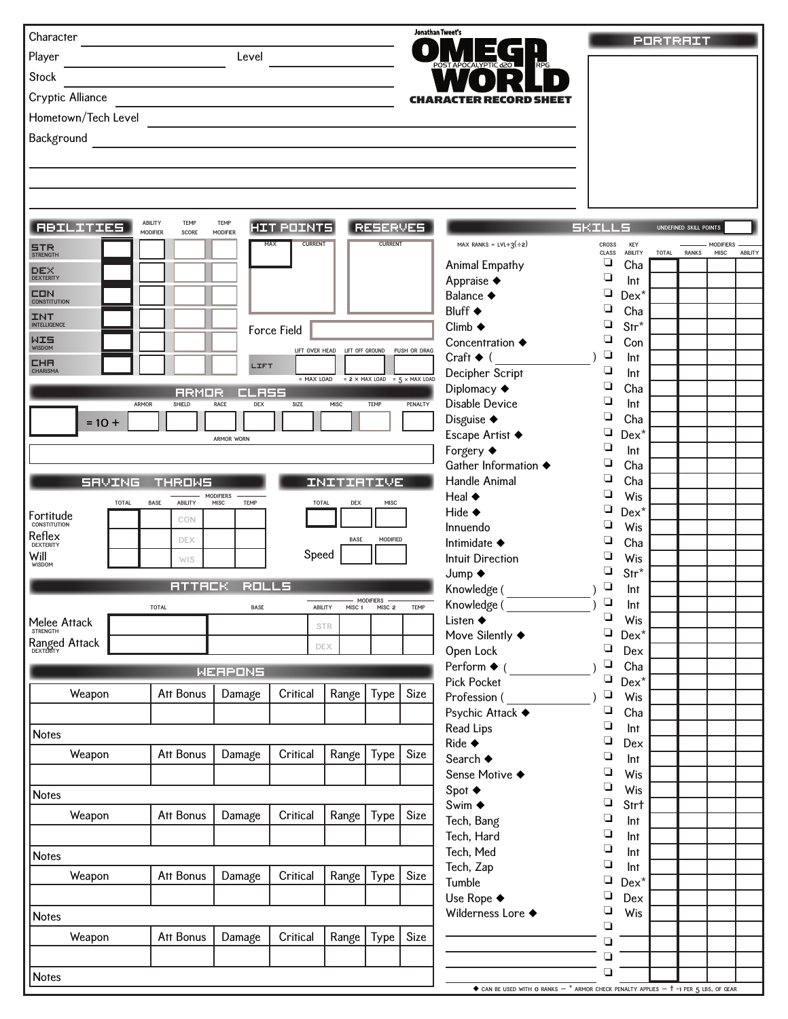| Character                         |                                                    |                         |                       |                                |                   |                                             | Jonathan Tweet's                                                                                              |                       |                       | <b>PORTRAIT</b> |                        |                          |         |
|-----------------------------------|----------------------------------------------------|-------------------------|-----------------------|--------------------------------|-------------------|---------------------------------------------|---------------------------------------------------------------------------------------------------------------|-----------------------|-----------------------|-----------------|------------------------|--------------------------|---------|
| Player                            |                                                    | Level                   |                       |                                |                   |                                             | OCALYPTIC d20                                                                                                 |                       |                       |                 |                        |                          |         |
| <b>Stock</b>                      |                                                    |                         |                       |                                |                   |                                             |                                                                                                               |                       |                       |                 |                        |                          |         |
| Cryptic Alliance                  |                                                    |                         |                       |                                |                   | <b>CHAR</b>                                 |                                                                                                               |                       |                       |                 |                        |                          |         |
|                                   |                                                    |                         |                       |                                |                   |                                             |                                                                                                               |                       |                       |                 |                        |                          |         |
| Hometown/Tech Level               |                                                    |                         |                       |                                |                   |                                             |                                                                                                               |                       |                       |                 |                        |                          |         |
| Background                        |                                                    |                         |                       |                                |                   |                                             |                                                                                                               |                       |                       |                 |                        |                          |         |
|                                   |                                                    |                         |                       |                                |                   |                                             |                                                                                                               |                       |                       |                 |                        |                          |         |
|                                   |                                                    |                         |                       |                                |                   |                                             |                                                                                                               |                       |                       |                 |                        |                          |         |
|                                   |                                                    |                         |                       |                                |                   |                                             |                                                                                                               |                       |                       |                 |                        |                          |         |
|                                   |                                                    |                         |                       |                                |                   |                                             |                                                                                                               |                       |                       |                 |                        |                          |         |
| <b>RBILITIES</b>                  | <b>ABILITY</b><br>TEMP<br><b>MODIFIER</b><br>SCORE | <b>TEMP</b><br>MODIFIER | <b>HIT POINTS</b>     |                                | <b>RESERVES</b>   |                                             |                                                                                                               | <b>SKILLS</b>         |                       |                 | UNDEFINED SKILL POINTS |                          |         |
| $STR$<br>STRENGTH                 |                                                    |                         | <b>CURRENT</b><br>MAX |                                | <b>CURRENT</b>    |                                             | MAX RANKS = $LVL+3(\div 2)$                                                                                   | <b>CROSS</b><br>CLASS | KEY<br><b>ABILITY</b> | <b>TOTAL</b>    | <b>RANKS</b>           | <b>MODIFIERS</b><br>MISC | ABILITY |
| $DEX$<br>DEXTERITY                |                                                    |                         |                       |                                |                   |                                             | Animal Empathy                                                                                                | ❏                     | Cha                   |                 |                        |                          |         |
|                                   |                                                    |                         |                       |                                |                   |                                             | Appraise ◆                                                                                                    | ❏                     | Int                   |                 |                        |                          |         |
| CON<br><b>CONSTITUTION</b>        |                                                    |                         |                       |                                |                   |                                             | Balance ◆                                                                                                     | ❏<br>◘                | $Dex^*$               |                 |                        |                          |         |
| <b>INT</b><br><b>INTELLIGENCE</b> |                                                    |                         |                       |                                |                   |                                             | Bluff ◆<br>$Climb \triangleleft$                                                                              | ❏                     | Cha<br>$Str^*$        |                 |                        |                          |         |
| MISOM                             |                                                    |                         | <b>Force Field</b>    |                                |                   |                                             | Concentration $\triangle$                                                                                     | ❏                     | Con                   |                 |                        |                          |         |
|                                   |                                                    |                         |                       | LIFT OVER HEAD LIFT OFF GROUND |                   | PUSH OR DRAG                                | Craft $\blacklozenge$ (                                                                                       | $\Box$                | Int                   |                 |                        |                          |         |
| <b>CHR</b><br><b>CHARISMA</b>     |                                                    | LIFT                    | $= MAX$ LOAD          |                                |                   | $= 2 \times MAX$ LOAD = $5 \times MAX$ LOAD | Decipher Script                                                                                               | $\Box$                | Int                   |                 |                        |                          |         |
|                                   | <b>RRMOR</b>                                       | EL 355                  |                       |                                |                   |                                             | Diplomacy +                                                                                                   | $\Box$                | Cha                   |                 |                        |                          |         |
| ARMOR                             | SHIELD                                             | <b>RACE</b><br>DEX      | SIZE                  | MISC                           | <b>TEMP</b>       | PENALTY                                     | Disable Device                                                                                                | ◘                     | Int                   |                 |                        |                          |         |
| $= 10 +$                          |                                                    |                         |                       |                                |                   |                                             | Disguise ◆                                                                                                    | ◘                     | Cha                   |                 |                        |                          |         |
|                                   |                                                    | <b>ARMOR WORN</b>       |                       |                                |                   |                                             | Escape Artist ◆                                                                                               | ❏<br>$\Box$           | $Dex^*$               |                 |                        |                          |         |
|                                   |                                                    |                         |                       |                                |                   |                                             | Forgery ◆<br>Gather Information ◆                                                                             | ❏                     | Int<br>Cha            |                 |                        |                          |         |
| <b>SRVING</b>                     | <b>THROWS</b>                                      |                         |                       | INITIATIVE                     |                   |                                             | Handle Animal                                                                                                 | $\Box$                | Cha                   |                 |                        |                          |         |
|                                   |                                                    | <b>MODIFIERS</b>        |                       |                                |                   |                                             | Heal $\blacklozenge$                                                                                          | ◘                     | Wis                   |                 |                        |                          |         |
| <b>TOTAL</b><br>Fortitude         | <b>ABILITY</b><br><b>BASE</b>                      | <b>TEMP</b><br>MISC     | <b>TOTAL</b>          | DEX                            | MISC              |                                             | Hide $\blacklozenge$                                                                                          | ❏                     | $Dex^*$               |                 |                        |                          |         |
| <b>CONSTITUTION</b>               | CON                                                |                         |                       |                                |                   |                                             | Innuendo                                                                                                      | ❏                     | Wis                   |                 |                        |                          |         |
| Reflex<br><b>DEXTERITY</b>        | <b>DEX</b>                                         |                         |                       | BASE                           | MODIFIED          |                                             | Intimidate $\blacklozenge$                                                                                    | ◘                     | Cha                   |                 |                        |                          |         |
| Will<br>WISDOM                    | WIS                                                |                         | Speed                 |                                |                   |                                             | <b>Intuit Direction</b>                                                                                       | ❏                     | Wis                   |                 |                        |                          |         |
|                                   | <b>ATTACK</b>                                      | <b>ROLLS</b>            |                       |                                |                   |                                             | Jump $\blacklozenge$                                                                                          | ❏<br>$\Box$           | $Str^*$               |                 |                        |                          |         |
|                                   |                                                    |                         |                       |                                | <b>MODIFIERS</b>  |                                             | Knowledge (<br>Knowledge (                                                                                    | $\Box$                | Int<br>Int            |                 |                        |                          |         |
|                                   | <b>TOTAL</b>                                       | <b>BASE</b>             | ABILITY               | MISC 1                         | MISC <sub>2</sub> | TEMP                                        | Listen $\blacklozenge$                                                                                        | $\Box$                | Wis                   |                 |                        |                          |         |
| <b>Melee Attack</b><br>STRENGTH   |                                                    |                         |                       | <b>STR</b>                     |                   |                                             | Move Silently $\blacklozenge$                                                                                 | ❏                     | $Dex^*$               |                 |                        |                          |         |
| Ranged Attack                     |                                                    |                         |                       | <b>DEX</b>                     |                   |                                             | Open Lock                                                                                                     | $\Box$                | Dex                   |                 |                        |                          |         |
|                                   |                                                    | WERPONS                 |                       |                                |                   |                                             | Perform $\blacklozenge$ (                                                                                     | $\Box$                | Cha                   |                 |                        |                          |         |
|                                   |                                                    |                         |                       |                                |                   |                                             | <b>Pick Pocket</b>                                                                                            | $\Box$                | $Dex^*$               |                 |                        |                          |         |
| Weapon                            | Att Bonus                                          | Damage                  | Critical              | Range                          | Type              | Size                                        | Profession (                                                                                                  | $\Box$                | Wis                   |                 |                        |                          |         |
|                                   |                                                    |                         |                       |                                |                   |                                             | Psychic Attack ◆<br>Read Lips                                                                                 | $\Box$<br>$\Box$      | Cha                   |                 |                        |                          |         |
| <b>Notes</b>                      |                                                    |                         |                       |                                |                   |                                             | Ride $\triangleleft$                                                                                          | $\Box$                | Int<br>Dex            |                 |                        |                          |         |
| Weapon                            | Att Bonus                                          | Damage                  | Critical              | Range                          | Type              | Size                                        | Search ◆                                                                                                      | $\Box$                | Int                   |                 |                        |                          |         |
|                                   |                                                    |                         |                       |                                |                   |                                             | Sense Motive ◆                                                                                                | $\Box$                | Wis                   |                 |                        |                          |         |
| <b>Notes</b>                      |                                                    |                         |                       |                                |                   |                                             | Spot $\blacklozenge$                                                                                          | $\Box$                | Wis                   |                 |                        |                          |         |
|                                   |                                                    |                         |                       |                                |                   |                                             | Swim ◆                                                                                                        | $\Box$                | Strt                  |                 |                        |                          |         |
| Weapon                            | Att Bonus                                          | Damage                  | Critical              | Range                          | Type              | Size                                        | Tech, Bang                                                                                                    | $\Box$                | Int                   |                 |                        |                          |         |
|                                   |                                                    |                         |                       |                                |                   |                                             | Tech, Hard                                                                                                    | $\Box$<br>$\Box$      | Int                   |                 |                        |                          |         |
| <b>Notes</b>                      |                                                    |                         |                       |                                |                   |                                             | Tech, Med<br>Tech, Zap                                                                                        | ❏                     | Int<br>Int            |                 |                        |                          |         |
| Weapon                            | Att Bonus                                          | Damage                  | Critical              | Range                          | Type              | Size                                        | Tumble                                                                                                        | $\Box$                | $Dex^*$               |                 |                        |                          |         |
|                                   |                                                    |                         |                       |                                |                   |                                             | Use Rope ◆                                                                                                    | ❏                     | Dex                   |                 |                        |                          |         |
| <b>Notes</b>                      |                                                    |                         |                       |                                |                   |                                             | Wilderness Lore ◆                                                                                             | $\Box$                | Wis                   |                 |                        |                          |         |
|                                   |                                                    |                         |                       |                                |                   |                                             |                                                                                                               | ❏                     |                       |                 |                        |                          |         |
| Weapon                            | Att Bonus                                          | Damage                  | Critical              | Range                          | Type              | Size                                        |                                                                                                               | ◘                     |                       |                 |                        |                          |         |
|                                   |                                                    |                         |                       |                                |                   |                                             |                                                                                                               | ◘                     |                       |                 |                        |                          |         |
| <b>Notes</b>                      |                                                    |                         |                       |                                |                   |                                             |                                                                                                               | $\Box$                |                       |                 |                        |                          |         |
|                                   |                                                    |                         |                       |                                |                   |                                             | $\blacklozenge$ can be used with $o$ ranks $-$ * armor check penalty applies $ \dagger$ -1 per 5 lbs. Of Gear |                       |                       |                 |                        |                          |         |